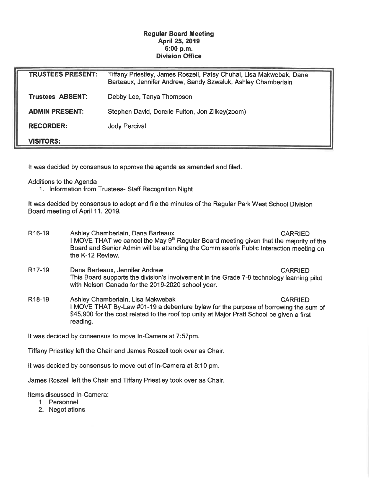## Regular Board Meeting April 25, 2019 6:00 p.m. Division Office

| <b>TRUSTEES PRESENT:</b> | Tiffany Priestley, James Roszell, Patsy Chuhai, Lisa Makwebak, Dana<br>Barteaux, Jennifer Andrew, Sandy Szwaluk, Ashley Chamberlain |
|--------------------------|-------------------------------------------------------------------------------------------------------------------------------------|
| <b>Trustees ABSENT:</b>  | Debby Lee, Tanya Thompson                                                                                                           |
| <b>ADMIN PRESENT:</b>    | Stephen David, Dorelle Fulton, Jon Zilkey(zoom)                                                                                     |
| <b>RECORDER:</b>         | <b>Jody Percival</b>                                                                                                                |
| <b>VISITORS:</b>         |                                                                                                                                     |

It was decided by consensus to approve the agenda as amended and filed.

Additions to the Agenda

1. Information from Trustees- Staff Recognition Night

It was decided by consensus to adopt and file the minutes of the Regular Park West School Division Board meeting of April 11, 2019.

- R16-19 Ashley Chamberlain, Dana Barteaux **CARRIED** I MOVE THAT we cancel the May  $9<sup>th</sup>$  Regular Board meeting given that the majority of the Board and Senior Admin will be attending the Commissions Public Interaction meeting on the K-12 Review.
- R17-19 Dana Barteaux, Jennifer Andrew CARRIED This Board supports the division's involvement in the Grade 7-8 technology learning pilot with Nelson Canada for the 2019-2020 school year.
- R18-19 Ashley Chamberlain, Lisa Makwebak CARRIED I MOVE THAT By-Law #01-19 a debenture bylaw for the purpose of borrowing the sum of \$45,900 for the cost related to the roof top unity at Major Pratt School be given a first reading.

It was decided by consensus to move In-Camera at 7:57pm.

Tiffany Priestley left the Chair and James Roszell took over as Chair.

It was decided by consensus to move out of In-Camera at 8:10 pm.

James Roszell left the Chair and Tiffany Priestley took over as Chair.

Items discussed In-Camera:

- 1. Personnel
- 2. Negotiations